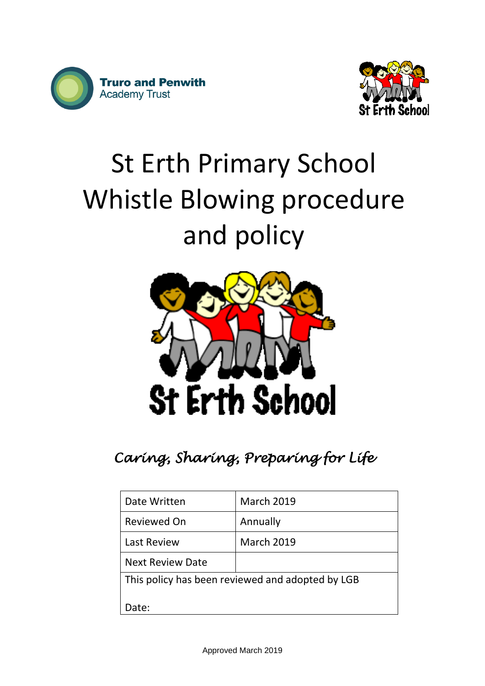



# St Erth Primary School Whistle Blowing procedure and policy



## *Caring, Sharing, Preparing for Life*

| Date Written                                     | <b>March 2019</b> |
|--------------------------------------------------|-------------------|
| Reviewed On                                      | Annually          |
| <b>Last Review</b>                               | <b>March 2019</b> |
| <b>Next Review Date</b>                          |                   |
| This policy has been reviewed and adopted by LGB |                   |
| Date:                                            |                   |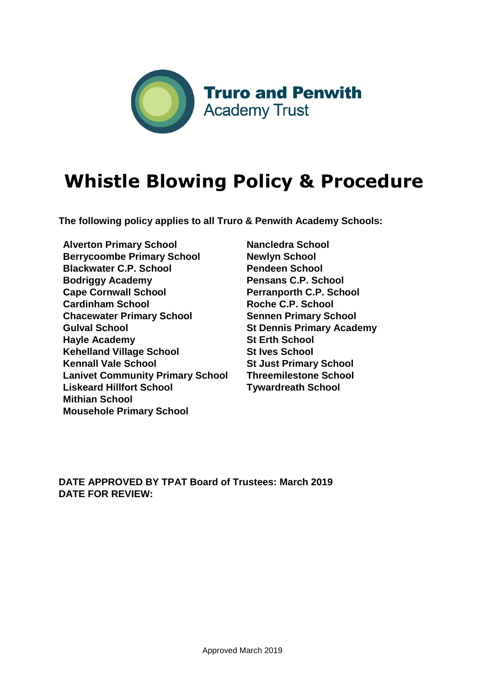

## **Whistle Blowing Policy & Procedure**

**The following policy applies to all Truro & Penwith Academy Schools:** 

**Alverton Primary School Berrycoombe Primary School Blackwater C.P. School Bodriggy Academy Cape Cornwall School Cardinham School Chacewater Primary School Gulval School Hayle Academy Kehelland Village School Kennall Vale School Lanivet Community Primary School Liskeard Hillfort School Mithian School Mousehole Primary School**

**Nancledra School Newlyn School Pendeen School Pensans C.P. School Perranporth C.P. School Roche C.P. School Sennen Primary School St Dennis Primary Academy St Erth School St Ives School St Just Primary School Threemilestone School Tywardreath School** 

**DATE APPROVED BY TPAT Board of Trustees: March 2019 DATE FOR REVIEW:**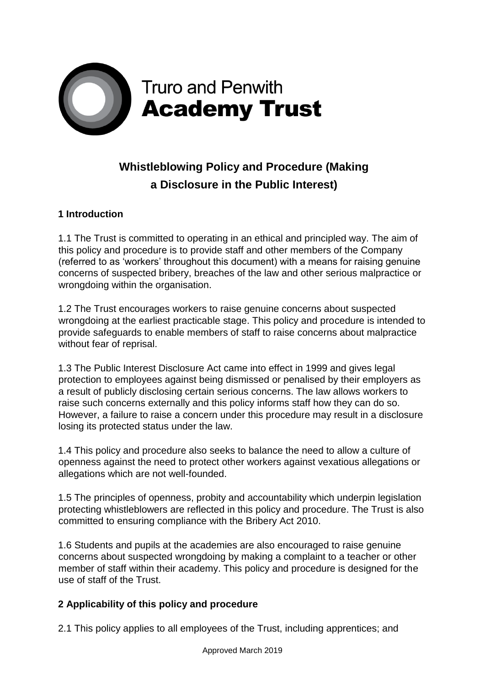

### **Whistleblowing Policy and Procedure (Making a Disclosure in the Public Interest)**

#### **1 Introduction**

1.1 The Trust is committed to operating in an ethical and principled way. The aim of this policy and procedure is to provide staff and other members of the Company (referred to as 'workers' throughout this document) with a means for raising genuine concerns of suspected bribery, breaches of the law and other serious malpractice or wrongdoing within the organisation.

1.2 The Trust encourages workers to raise genuine concerns about suspected wrongdoing at the earliest practicable stage. This policy and procedure is intended to provide safeguards to enable members of staff to raise concerns about malpractice without fear of reprisal.

1.3 The Public Interest Disclosure Act came into effect in 1999 and gives legal protection to employees against being dismissed or penalised by their employers as a result of publicly disclosing certain serious concerns. The law allows workers to raise such concerns externally and this policy informs staff how they can do so. However, a failure to raise a concern under this procedure may result in a disclosure losing its protected status under the law.

1.4 This policy and procedure also seeks to balance the need to allow a culture of openness against the need to protect other workers against vexatious allegations or allegations which are not well-founded.

1.5 The principles of openness, probity and accountability which underpin legislation protecting whistleblowers are reflected in this policy and procedure. The Trust is also committed to ensuring compliance with the Bribery Act 2010.

1.6 Students and pupils at the academies are also encouraged to raise genuine concerns about suspected wrongdoing by making a complaint to a teacher or other member of staff within their academy. This policy and procedure is designed for the use of staff of the Trust.

#### **2 Applicability of this policy and procedure**

2.1 This policy applies to all employees of the Trust, including apprentices; and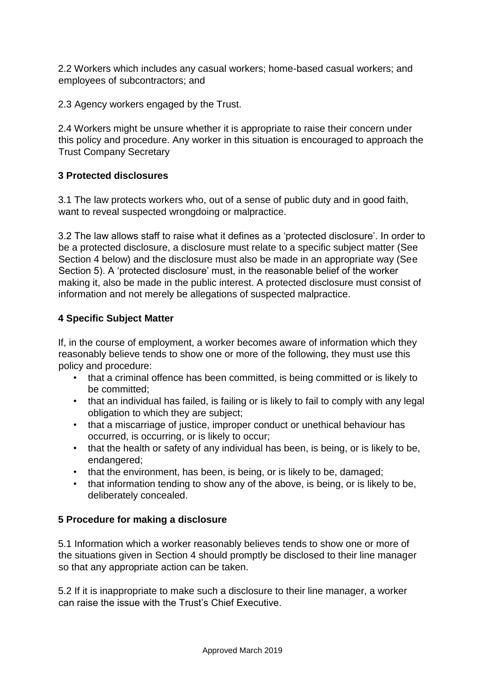2.2 Workers which includes any casual workers; home-based casual workers; and employees of subcontractors; and

2.3 Agency workers engaged by the Trust.

2.4 Workers might be unsure whether it is appropriate to raise their concern under this policy and procedure. Any worker in this situation is encouraged to approach the Trust Company Secretary

#### **3 Protected disclosures**

3.1 The law protects workers who, out of a sense of public duty and in good faith, want to reveal suspected wrongdoing or malpractice.

3.2 The law allows staff to raise what it defines as a 'protected disclosure'. In order to be a protected disclosure, a disclosure must relate to a specific subject matter (See Section 4 below) and the disclosure must also be made in an appropriate way (See Section 5). A 'protected disclosure' must, in the reasonable belief of the worker making it, also be made in the public interest. A protected disclosure must consist of information and not merely be allegations of suspected malpractice.

#### **4 Specific Subject Matter**

If, in the course of employment, a worker becomes aware of information which they reasonably believe tends to show one or more of the following, they must use this policy and procedure:

- that a criminal offence has been committed, is being committed or is likely to be committed;
- that an individual has failed, is failing or is likely to fail to comply with any legal obligation to which they are subject;
- that a miscarriage of justice, improper conduct or unethical behaviour has occurred, is occurring, or is likely to occur;
- that the health or safety of any individual has been, is being, or is likely to be, endangered;
- that the environment, has been, is being, or is likely to be, damaged;
- that information tending to show any of the above, is being, or is likely to be, deliberately concealed.

#### **5 Procedure for making a disclosure**

5.1 Information which a worker reasonably believes tends to show one or more of the situations given in Section 4 should promptly be disclosed to their line manager so that any appropriate action can be taken.

5.2 If it is inappropriate to make such a disclosure to their line manager, a worker can raise the issue with the Trust's Chief Executive.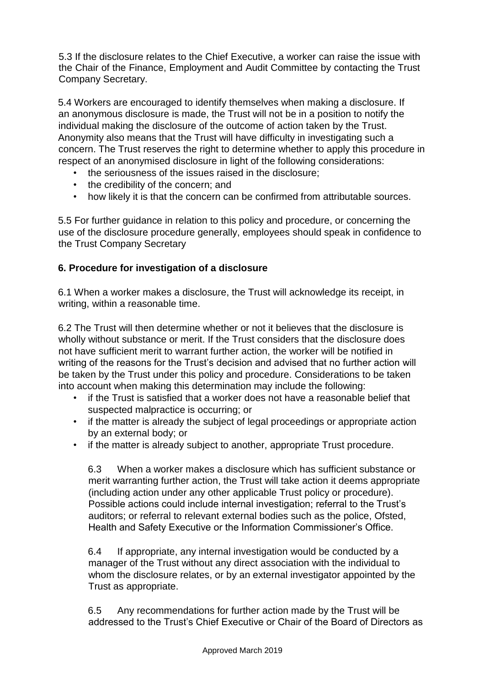5.3 If the disclosure relates to the Chief Executive, a worker can raise the issue with the Chair of the Finance, Employment and Audit Committee by contacting the Trust Company Secretary.

5.4 Workers are encouraged to identify themselves when making a disclosure. If an anonymous disclosure is made, the Trust will not be in a position to notify the individual making the disclosure of the outcome of action taken by the Trust. Anonymity also means that the Trust will have difficulty in investigating such a concern. The Trust reserves the right to determine whether to apply this procedure in respect of an anonymised disclosure in light of the following considerations:

- the seriousness of the issues raised in the disclosure;
- the credibility of the concern; and
- how likely it is that the concern can be confirmed from attributable sources.

5.5 For further guidance in relation to this policy and procedure, or concerning the use of the disclosure procedure generally, employees should speak in confidence to the Trust Company Secretary

#### **6. Procedure for investigation of a disclosure**

6.1 When a worker makes a disclosure, the Trust will acknowledge its receipt, in writing, within a reasonable time.

6.2 The Trust will then determine whether or not it believes that the disclosure is wholly without substance or merit. If the Trust considers that the disclosure does not have sufficient merit to warrant further action, the worker will be notified in writing of the reasons for the Trust's decision and advised that no further action will be taken by the Trust under this policy and procedure. Considerations to be taken into account when making this determination may include the following:

- if the Trust is satisfied that a worker does not have a reasonable belief that suspected malpractice is occurring; or
- if the matter is already the subject of legal proceedings or appropriate action by an external body; or
- if the matter is already subject to another, appropriate Trust procedure.

6.3 When a worker makes a disclosure which has sufficient substance or merit warranting further action, the Trust will take action it deems appropriate (including action under any other applicable Trust policy or procedure). Possible actions could include internal investigation; referral to the Trust's auditors; or referral to relevant external bodies such as the police, Ofsted, Health and Safety Executive or the Information Commissioner's Office.

6.4 If appropriate, any internal investigation would be conducted by a manager of the Trust without any direct association with the individual to whom the disclosure relates, or by an external investigator appointed by the Trust as appropriate.

6.5 Any recommendations for further action made by the Trust will be addressed to the Trust's Chief Executive or Chair of the Board of Directors as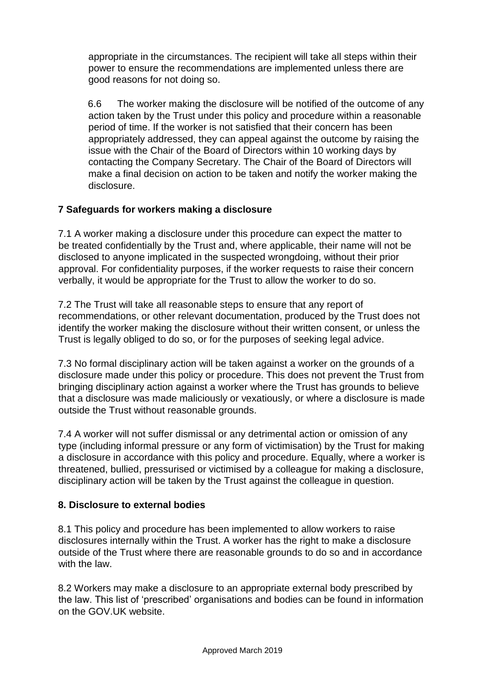appropriate in the circumstances. The recipient will take all steps within their power to ensure the recommendations are implemented unless there are good reasons for not doing so.

6.6 The worker making the disclosure will be notified of the outcome of any action taken by the Trust under this policy and procedure within a reasonable period of time. If the worker is not satisfied that their concern has been appropriately addressed, they can appeal against the outcome by raising the issue with the Chair of the Board of Directors within 10 working days by contacting the Company Secretary. The Chair of the Board of Directors will make a final decision on action to be taken and notify the worker making the disclosure.

#### **7 Safeguards for workers making a disclosure**

7.1 A worker making a disclosure under this procedure can expect the matter to be treated confidentially by the Trust and, where applicable, their name will not be disclosed to anyone implicated in the suspected wrongdoing, without their prior approval. For confidentiality purposes, if the worker requests to raise their concern verbally, it would be appropriate for the Trust to allow the worker to do so.

7.2 The Trust will take all reasonable steps to ensure that any report of recommendations, or other relevant documentation, produced by the Trust does not identify the worker making the disclosure without their written consent, or unless the Trust is legally obliged to do so, or for the purposes of seeking legal advice.

7.3 No formal disciplinary action will be taken against a worker on the grounds of a disclosure made under this policy or procedure. This does not prevent the Trust from bringing disciplinary action against a worker where the Trust has grounds to believe that a disclosure was made maliciously or vexatiously, or where a disclosure is made outside the Trust without reasonable grounds.

7.4 A worker will not suffer dismissal or any detrimental action or omission of any type (including informal pressure or any form of victimisation) by the Trust for making a disclosure in accordance with this policy and procedure. Equally, where a worker is threatened, bullied, pressurised or victimised by a colleague for making a disclosure, disciplinary action will be taken by the Trust against the colleague in question.

#### **8. Disclosure to external bodies**

8.1 This policy and procedure has been implemented to allow workers to raise disclosures internally within the Trust. A worker has the right to make a disclosure outside of the Trust where there are reasonable grounds to do so and in accordance with the law.

8.2 Workers may make a disclosure to an appropriate external body prescribed by the law. This list of 'prescribed' organisations and bodies can be found in information on the GOV.UK website.